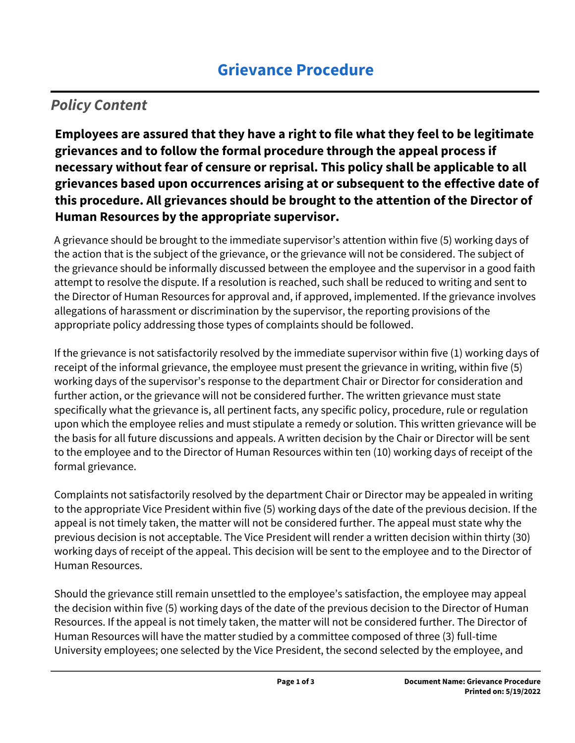## *Policy Content*

**Employees are assured that they have a right to file what they feel to be legitimate grievances and to follow the formal procedure through the appeal process if necessary without fear of censure or reprisal. This policy shall be applicable to all grievances based upon occurrences arising at or subsequent to the effective date of this procedure. All grievances should be brought to the attention of the Director of Human Resources by the appropriate supervisor.** 

A grievance should be brought to the immediate supervisor's attention within five (5) working days of the action that is the subject of the grievance, or the grievance will not be considered. The subject of the grievance should be informally discussed between the employee and the supervisor in a good faith attempt to resolve the dispute. If a resolution is reached, such shall be reduced to writing and sent to the Director of Human Resources for approval and, if approved, implemented. If the grievance involves allegations of harassment or discrimination by the supervisor, the reporting provisions of the appropriate policy addressing those types of complaints should be followed.

If the grievance is not satisfactorily resolved by the immediate supervisor within five (1) working days of receipt of the informal grievance, the employee must present the grievance in writing, within five (5) working days of the supervisor's response to the department Chair or Director for consideration and further action, or the grievance will not be considered further. The written grievance must state specifically what the grievance is, all pertinent facts, any specific policy, procedure, rule or regulation upon which the employee relies and must stipulate a remedy or solution. This written grievance will be the basis for all future discussions and appeals. A written decision by the Chair or Director will be sent to the employee and to the Director of Human Resources within ten (10) working days of receipt of the formal grievance.

Complaints not satisfactorily resolved by the department Chair or Director may be appealed in writing to the appropriate Vice President within five (5) working days of the date of the previous decision. If the appeal is not timely taken, the matter will not be considered further. The appeal must state why the previous decision is not acceptable. The Vice President will render a written decision within thirty (30) working days of receipt of the appeal. This decision will be sent to the employee and to the Director of Human Resources.

Should the grievance still remain unsettled to the employee's satisfaction, the employee may appeal the decision within five (5) working days of the date of the previous decision to the Director of Human Resources. If the appeal is not timely taken, the matter will not be considered further. The Director of Human Resources will have the matter studied by a committee composed of three (3) full-time University employees; one selected by the Vice President, the second selected by the employee, and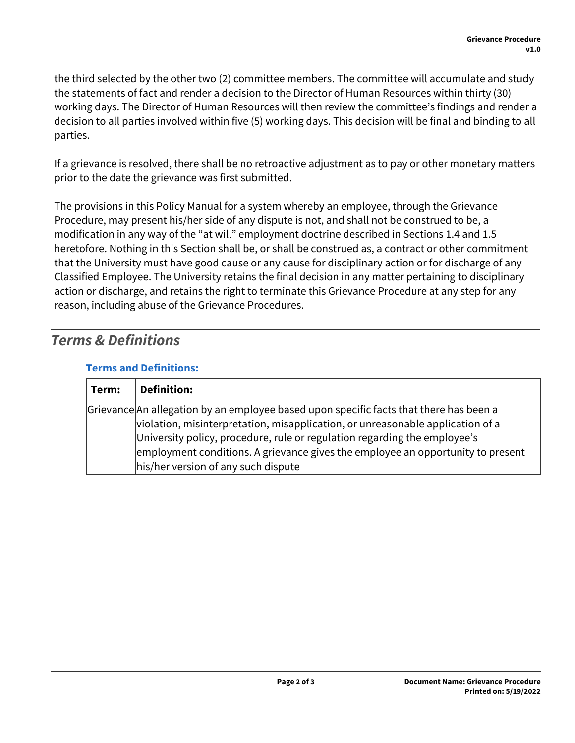the third selected by the other two (2) committee members. The committee will accumulate and study the statements of fact and render a decision to the Director of Human Resources within thirty (30) working days. The Director of Human Resources will then review the committee's findings and render a decision to all parties involved within five (5) working days. This decision will be final and binding to all parties.

If a grievance is resolved, there shall be no retroactive adjustment as to pay or other monetary matters prior to the date the grievance was first submitted.

The provisions in this Policy Manual for a system whereby an employee, through the Grievance Procedure, may present his/her side of any dispute is not, and shall not be construed to be, a modification in any way of the "at will" employment doctrine described in Sections 1.4 and 1.5 heretofore. Nothing in this Section shall be, or shall be construed as, a contract or other commitment that the University must have good cause or any cause for disciplinary action or for discharge of any Classified Employee. The University retains the final decision in any matter pertaining to disciplinary action or discharge, and retains the right to terminate this Grievance Procedure at any step for any reason, including abuse of the Grievance Procedures.

### *Terms & Definitions*

| Term: | <b>Definition:</b>                                                                     |
|-------|----------------------------------------------------------------------------------------|
|       | Grievance An allegation by an employee based upon specific facts that there has been a |
|       | violation, misinterpretation, misapplication, or unreasonable application of a         |
|       | University policy, procedure, rule or regulation regarding the employee's              |
|       | employment conditions. A grievance gives the employee an opportunity to present        |
|       | his/her version of any such dispute                                                    |

#### **Terms and Definitions:**